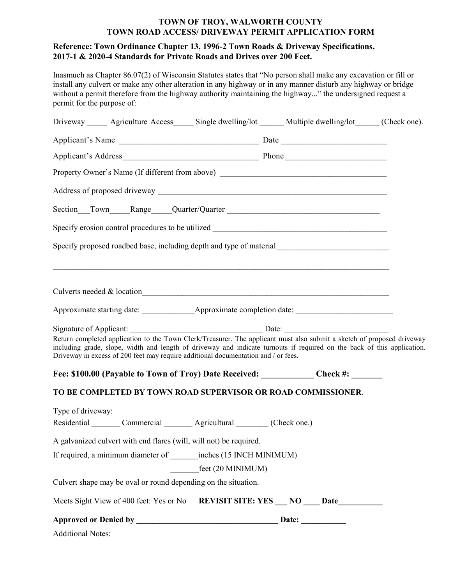## TOWN OF TROY, WALWORTH COUNTY TOWN ROAD ACCESS/ DRIVEWAY PERMIT APPLICATION FORM

## Reference: Town Ordinance Chapter 13, 1996-2 Town Roads & Driveway Specifications, 2017-1 & 2020-4 Standards for Private Roads and Drives over 200 Feet.

Inasmuch as Chapter 86.07(2) of Wisconsin Statutes states that "No person shall make any excavation or fill or install any culvert or make any other alteration in any highway or in any manner disturb any highway or bridge without a permit therefore from the highway authority maintaining the highway..." the undersigned request a permit for the purpose of:

| Driveway ______ Agriculture Access _____ Single dwelling/lot ______ Multiple dwelling/lot _____ (Check one).                                                                                                                                                                                                                            |                                             |  |  |
|-----------------------------------------------------------------------------------------------------------------------------------------------------------------------------------------------------------------------------------------------------------------------------------------------------------------------------------------|---------------------------------------------|--|--|
|                                                                                                                                                                                                                                                                                                                                         |                                             |  |  |
|                                                                                                                                                                                                                                                                                                                                         |                                             |  |  |
| Property Owner's Name (If different from above) _________________________________                                                                                                                                                                                                                                                       |                                             |  |  |
|                                                                                                                                                                                                                                                                                                                                         |                                             |  |  |
| Section Cloum Town Cloum Range Cluarter/Quarter Content Communication Cluarter Content Content Communication Cluarter Cluarter Content Communication Cluarter Content Content Content Content Content Content Content Content                                                                                                           |                                             |  |  |
|                                                                                                                                                                                                                                                                                                                                         |                                             |  |  |
| Specify proposed roadbed base, including depth and type of material________________________________                                                                                                                                                                                                                                     |                                             |  |  |
| Culverts needed & location_                                                                                                                                                                                                                                                                                                             |                                             |  |  |
|                                                                                                                                                                                                                                                                                                                                         |                                             |  |  |
| Return completed application to the Town Clerk/Treasurer. The applicant must also submit a sketch of proposed driveway<br>including grade, slope, width and length of driveway and indicate turnouts if required on the back of this application.<br>Driveway in excess of 200 feet may require additional documentation and / or fees. |                                             |  |  |
| Fee: \$100.00 (Payable to Town of Troy) Date Received: ____________Check #: ______                                                                                                                                                                                                                                                      |                                             |  |  |
| TO BE COMPLETED BY TOWN ROAD SUPERVISOR OR ROAD COMMISSIONER.                                                                                                                                                                                                                                                                           |                                             |  |  |
| Type of driveway:<br>Residential Commercial Agricultural (Check one.)                                                                                                                                                                                                                                                                   |                                             |  |  |
|                                                                                                                                                                                                                                                                                                                                         |                                             |  |  |
| A galvanized culvert with end flares (will, will not) be required.<br>If required, a minimum diameter of inches (15 INCH MINIMUM)                                                                                                                                                                                                       |                                             |  |  |
|                                                                                                                                                                                                                                                                                                                                         | feet (20 MINIMUM)                           |  |  |
| Culvert shape may be oval or round depending on the situation.                                                                                                                                                                                                                                                                          |                                             |  |  |
| Meets Sight View of 400 feet: Yes or No                                                                                                                                                                                                                                                                                                 | REVISIT SITE: YES ___ NO ____ Date_________ |  |  |
|                                                                                                                                                                                                                                                                                                                                         |                                             |  |  |
| <b>Additional Notes:</b>                                                                                                                                                                                                                                                                                                                |                                             |  |  |